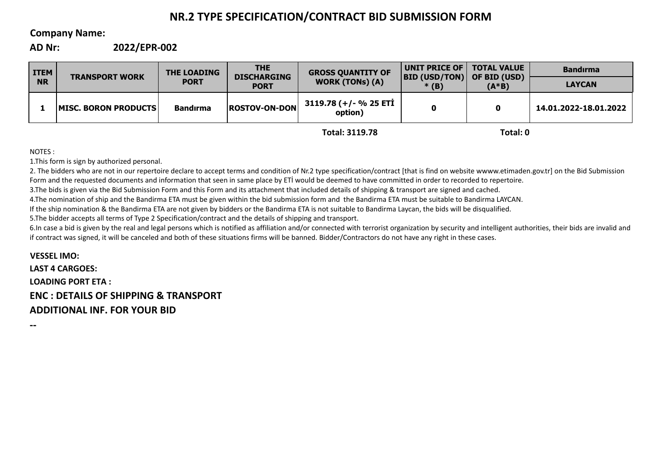# **NR.2 TYPE SPECIFICATION/CONTRACT BID SUBMISSION FORM**

# **Company Name:**

**AD Nr: 2022/EPR-002**

| <b>WORK (TONs) (A)</b><br><b>NR</b><br><b>PORT</b><br><b>LAYCAN</b><br>$(A*B)$<br><b>PORT</b><br>$*(B)$<br>3119.78 (+/- % 25 ETİ<br><b>ROSTOV-ON-DON</b><br><b>IMISC. BORON PRODUCTS</b><br>14.01.2022-18.01.2022<br><b>Bandırma</b><br>0<br>option) | <b>ITEM</b> | <b>TRANSPORT WORK</b> | <b>THE LOADING</b> | <b>THE</b><br><b>DISCHARGING</b> | <b>GROSS QUANTITY OF</b> | UNIT PRICE OF  <br> BID (USD/TON) | <b>TOTAL VALUE</b><br>OF BID (USD) | <b>Bandirma</b> |
|------------------------------------------------------------------------------------------------------------------------------------------------------------------------------------------------------------------------------------------------------|-------------|-----------------------|--------------------|----------------------------------|--------------------------|-----------------------------------|------------------------------------|-----------------|
|                                                                                                                                                                                                                                                      |             |                       |                    |                                  |                          |                                   |                                    |                 |
|                                                                                                                                                                                                                                                      |             |                       |                    |                                  |                          |                                   |                                    |                 |

**Total: 3119.78**

**Total: 0**

NOTES :

1.This form is sign by authorized personal.

2. The bidders who are not in our repertoire declare to accept terms and condition of Nr.2 type specification/contract [that is find on website wwww.etimaden.gov.tr] on the Bid Submission Form and the requested documents and information that seen in same place by ETİ would be deemed to have committed in order to recorded to repertoire.

3.The bids is given via the Bid Submission Form and this Form and its attachment that included details of shipping & transport are signed and cached.

4.The nomination of ship and the Bandirma ETA must be given within the bid submission form and the Bandirma ETA must be suitable to Bandirma LAYCAN.

If the ship nomination & the Bandirma ETA are not given by bidders or the Bandirma ETA is not suitable to Bandirma Laycan, the bids will be disqualified.

5.The bidder accepts all terms of Type 2 Specification/contract and the details of shipping and transport.

6.In case a bid is given by the real and legal persons which is notified as affiliation and/or connected with terrorist organization by security and intelligent authorities, their bids are invalid and if contract was signed, it will be canceled and both of these situations firms will be banned. Bidder/Contractors do not have any right in these cases.

**VESSEL IMO: LAST 4 CARGOES: LOADING PORT ETA : ENC : DETAILS OF SHIPPING & TRANSPORT ADDITIONAL INF. FOR YOUR BID**

**--**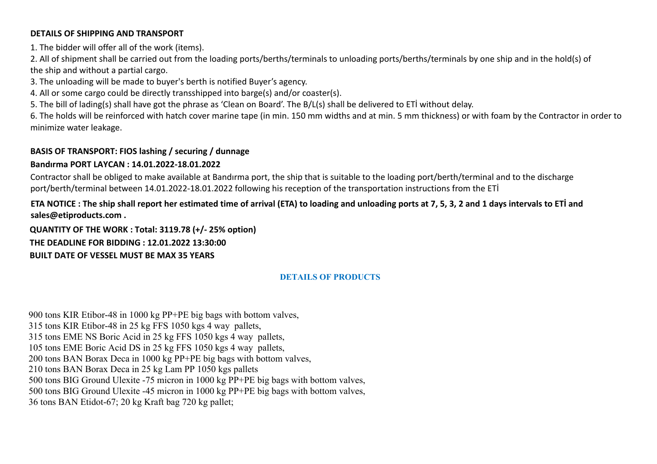### **DETAILS OF SHIPPING AND TRANSPORT**

1. The bidder will offer all of the work (items).

2. All of shipment shall be carried out from the loading ports/berths/terminals to unloading ports/berths/terminals by one ship and in the hold(s) of the ship and without a partial cargo.

3. The unloading will be made to buyer's berth is notified Buyer's agency.

4. All or some cargo could be directly transshipped into barge(s) and/or coaster(s).

5. The bill of lading(s) shall have got the phrase as 'Clean on Board'. The B/L(s) shall be delivered to ETİ without delay.

6. The holds will be reinforced with hatch cover marine tape (in min. 150 mm widths and at min. 5 mm thickness) or with foam by the Contractor in order to minimize water leakage.

# **BASIS OF TRANSPORT: FIOS lashing / securing / dunnage**

# **Bandırma PORT LAYCAN : 14.01.2022-18.01.2022**

Contractor shall be obliged to make available at Bandırma port, the ship that is suitable to the loading port/berth/terminal and to the discharge port/berth/terminal between 14.01.2022-18.01.2022 following his reception of the transportation instructions from the ETİ

# **ETA NOTICE : The ship shall report her estimated time of arrival (ETA) to loading and unloading ports at 7, 5, 3, 2 and 1 days intervals to ETİ and sales@etiproducts.com .**

**QUANTITY OF THE WORK : Total: 3119.78 (+/- 25% option) THE DEADLINE FOR BIDDING : 12.01.2022 13:30:00 BUILT DATE OF VESSEL MUST BE MAX 35 YEARS**

# **DETAILS OF PRODUCTS**

900 tons KIR Etibor-48 in 1000 kg PP+PE big bags with bottom valves, 315 tons KIR Etibor-48 in 25 kg FFS 1050 kgs 4 way pallets, 315 tons EME NS Boric Acid in 25 kg FFS 1050 kgs 4 way pallets, 105 tons EME Boric Acid DS in 25 kg FFS 1050 kgs 4 way pallets, 200 tons BAN Borax Deca in 1000 kg PP+PE big bags with bottom valves, 210 tons BAN Borax Deca in 25 kg Lam PP 1050 kgs pallets 500 tons BIG Ground Ulexite -75 micron in 1000 kg PP+PE big bags with bottom valves, 500 tons BIG Ground Ulexite -45 micron in 1000 kg PP+PE big bags with bottom valves, 36 tons BAN Etidot-67; 20 kg Kraft bag 720 kg pallet;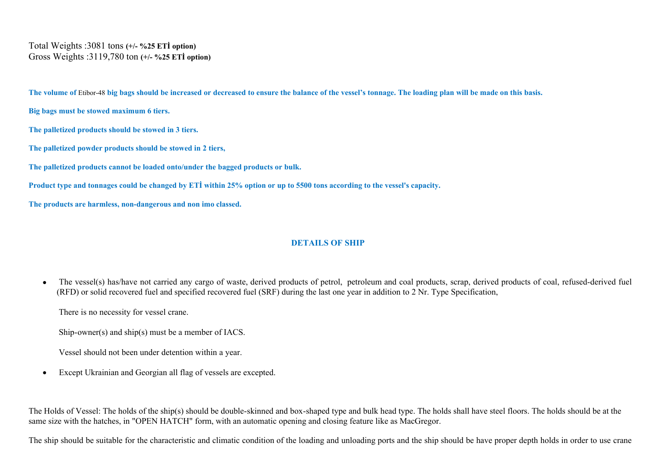Total Weights :3081 tons **(+/- %25 ETİ option)** Gross Weights :3119,780 ton **(+/- %25 ETİ option)**

**The volume of** Etibor-48 **big bags should be increased or decreased to ensure the balance of the vessel's tonnage. The loading plan will be made on this basis.**

**Big bags must be stowed maximum 6 tiers.**

**The palletized products should be stowed in 3 tiers.**

**The palletized powder products should be stowed in 2 tiers,**

**The palletized products cannot be loaded onto/under the bagged products or bulk.**

**Product type and tonnages could be changed by ETİ within 25% option or up to 5500 tons according to the vessel's capacity.**

**The products are harmless, non-dangerous and non imo classed.**

# **DETAILS OF SHIP**

The vessel(s) has/have not carried any cargo of waste, derived products of petrol, petroleum and coal products, scrap, derived products of coal, refused-derived fuel (RFD) or solid recovered fuel and specified recovered fuel (SRF) during the last one year in addition to 2 Nr. Type Specification,

There is no necessity for vessel crane.

Ship-owner(s) and ship(s) must be a member of IACS.

Vessel should not been under detention within a year.

Except Ukrainian and Georgian all flag of vessels are excepted.

The Holds of Vessel: The holds of the ship(s) should be double-skinned and box-shaped type and bulk head type. The holds shall have steel floors. The holds should be at the same size with the hatches, in "OPEN HATCH" form, with an automatic opening and closing feature like as MacGregor.

The ship should be suitable for the characteristic and climatic condition of the loading and unloading ports and the ship should be have proper depth holds in order to use crane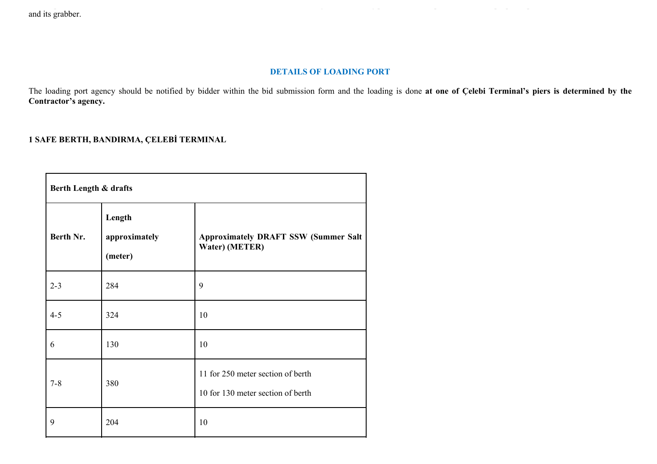and its grabber.

## **DETAILS OF LOADING PORT**

The loading port agency should be notified by bidder within the bid submission form and the loading is done at one of Çelebi Terminal's piers is determined by the **Contractor's agency.**

# **1 SAFE BERTH, BANDIRMA, ÇELEBİ TERMINAL**

| Berth Length & drafts |                                    |                                                                        |  |  |  |  |
|-----------------------|------------------------------------|------------------------------------------------------------------------|--|--|--|--|
| Berth Nr.             | Length<br>approximately<br>(meter) | <b>Approximately DRAFT SSW (Summer Salt</b><br>Water) (METER)          |  |  |  |  |
| $2 - 3$               | 284                                | 9                                                                      |  |  |  |  |
| $4 - 5$               | 324                                | 10                                                                     |  |  |  |  |
| 6                     | 130                                | 10                                                                     |  |  |  |  |
| $7 - 8$               | 380                                | 11 for 250 meter section of berth<br>10 for 130 meter section of berth |  |  |  |  |
| 9                     | 204                                | 10                                                                     |  |  |  |  |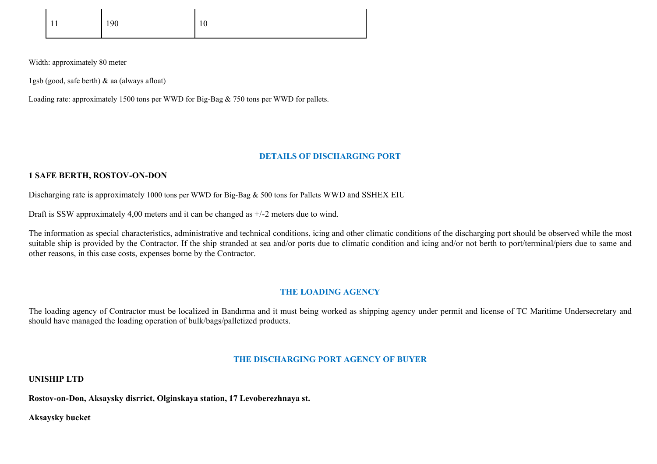| 11<br>11 | 190 | 10 |
|----------|-----|----|
|          |     |    |

Width: approximately 80 meter

1gsb (good, safe berth) & aa (always afloat)

Loading rate: approximately 1500 tons per WWD for Big-Bag & 750 tons per WWD for pallets.

#### **DETAILS OF DISCHARGING PORT**

#### **1 SAFE BERTH, ROSTOV-ON-DON**

Discharging rate is approximately 1000 tons per WWD for Big-Bag & 500 tons for Pallets WWD and SSHEX EIU

Draft is SSW approximately 4,00 meters and it can be changed as +/-2 meters due to wind.

The information as special characteristics, administrative and technical conditions, icing and other climatic conditions of the discharging port should be observed while the most suitable ship is provided by the Contractor. If the ship stranded at sea and/or ports due to climatic condition and icing and/or not berth to port/terminal/piers due to same and other reasons, in this case costs, expenses borne by the Contractor.

## **THE LOADING AGENCY**

The loading agency of Contractor must be localized in Bandırma and it must being worked as shipping agency under permit and license of TC Maritime Undersecretary and should have managed the loading operation of bulk/bags/palletized products.

#### **THE DISCHARGING PORT AGENCY OF BUYER**

**UNISHIP LTD**

**Rostov-on-Don, Aksaysky disrrict, Olginskaya station, 17 Levoberezhnaya st.**

**Aksaysky bucket**